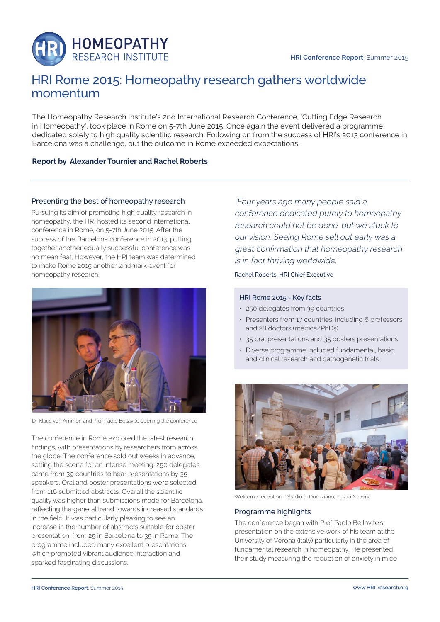

# HRI Rome 2015: Homeopathy research gathers worldwide momentum

The Homeopathy Research Institute's 2nd International Research Conference, 'Cutting Edge Research in Homeopathy', took place in Rome on 5-7th June 2015. Once again the event delivered a programme dedicated solely to high quality scientific research. Following on from the success of HRI's 2013 conference in Barcelona was a challenge, but the outcome in Rome exceeded expectations.

# **Report by Alexander Tournier and Rachel Roberts**

## Presenting the best of homeopathy research

Pursuing its aim of promoting high quality research in homeopathy, the HRI hosted its second international conference in Rome, on 5-7th June 2015. After the success of the Barcelona conference in 2013, putting together another equally successful conference was no mean feat. However, the HRI team was determined to make Rome 2015 another landmark event for homeopathy research.



Dr Klaus von Ammon and Prof Paolo Bellavite opening the conference

The conference in Rome explored the latest research findings, with presentations by researchers from across the globe. The conference sold out weeks in advance, setting the scene for an intense meeting: 250 delegates came from 39 countries to hear presentations by 35 speakers. Oral and poster presentations were selected from 116 submitted abstracts. Overall the scientific quality was higher than submissions made for Barcelona, reflecting the general trend towards increased standards in the field. It was particularly pleasing to see an increase in the number of abstracts suitable for poster presentation, from 25 in Barcelona to 35 in Rome. The programme included many excellent presentations which prompted vibrant audience interaction and sparked fascinating discussions.

"Four years ago many people said a conference dedicated purely to homeopathy research could not be done, but we stuck to our vision. Seeing Rome sell out early was a great confirmation that homeopathy research is in fact thriving worldwide."

Rachel Roberts, HRI Chief Executive

#### HRI Rome 2015 - Key facts

- 250 delegates from 39 countries
- Presenters from 17 countries, including 6 professors and 28 doctors (medics/PhDs)
- 35 oral presentations and 35 posters presentations
- Diverse programme included fundamental, basic and clinical research and pathogenetic trials



Welcome reception – Stadio di Domiziano, Piazza Navona

## Programme highlights

The conference began with Prof Paolo Bellavite's presentation on the extensive work of his team at the University of Verona (Italy) particularly in the area of fundamental research in homeopathy. He presented their study measuring the reduction of anxiety in mice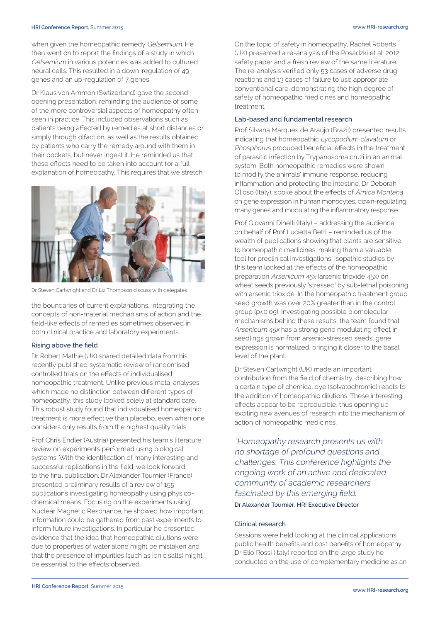#### **HRI Conference Report**, Summer 2015 **www.HRI-research.org**

when given the homeopathic remedy Gelsemium. He then went on to report the findings of a study in which Gelsemium in various potencies was added to cultured neural cells. This resulted in a down-regulation of 49 genes and an up-regulation of 7 genes.

Dr Klaus von Ammon (Swtizerland) gave the second opening presentation, reminding the audience of some of the more controversial aspects of homeopathy often seen in practice. This included observations such as patients being affected by remedies at short distances or simply through olfaction, as well as the results obtained by patients who carry the remedy around with them in their pockets, but never ingest it. He reminded us that those effects need to be taken into account for a full explanation of homeopathy. This requires that we stretch



Dr Steven Cartwright and Dr Liz Thompson discuss with delegates

the boundaries of current explanations, integrating the concepts of non-material mechanisms of action and the field-like effects of remedies sometimes observed in both clinical practice and laboratory experiments.

## Rising above the field

Dr Robert Mathie (UK) shared detailed data from his recently published systematic review of randomised controlled trials on the effects of individualised homeopathic treatment. Unlike previous meta-analyses, which made no distinction between different types of homeopathy, this study looked solely at standard care. This robust study found that individualised homeopathic treatment is more effective than placebo, even when one considers only results from the highest quality trials.

Prof Chris Endler (Austria) presented his team's literature review on experiments performed using biological systems. With the identification of many interesting and successful replications in the field, we look forward to the final publication. Dr Alexander Tournier (France) presented preliminary results of a review of 155 publications investigating homeopathy using physicochemical means. Focusing on the experiments using Nuclear Magnetic Resonance, he showed how important information could be gathered from past experiments to inform future investigations. In particular he presented evidence that the idea that homeopathic dilutions were due to properties of water alone might be mistaken and that the presence of impurities (such as ionic salts) might be essential to the effects observed.

On the topic of safety in homeopathy, Rachel Roberts (UK) presented a re-analysis of the Posadzki et al. 2012 safety paper and a fresh review of the same literature. The re-analysis verified only 53 cases of adverse drug reactions and 13 cases of failure to use appropriate conventional care, demonstrating the high degree of safety of homeopathic medicines and homeopathic treatment.

### Lab-based and fundamental research

Prof Silvana Marques de Araújo (Brazil) presented results indicating that homeopathic Lycopodium clavatum or Phosphorus produced beneficial effects in the treatment of parasitic infection by Trypanosoma cruzi in an animal system. Both homeopathic remedies were shown to modify the animals' immune response, reducing inflammation and protecting the intestine. Dr Deborah Olioso (Italy), spoke about the effects of Arnica Montana on gene expression in human monocytes, down-regulating many genes and modulating the inflammatory response.

Prof Giovanni Dinelli (Italy) – addressing the audience on behalf of Prof Lucietta Betti – reminded us of the wealth of publications showing that plants are sensitive to homeopathic medicines, making them a valuable tool for preclinical investigations. Isopathic studies by this team looked at the effects of the homeopathic preparation Arsenicum 45x (arsenic trioxide 45x) on wheat seeds previously 'stressed' by sub-lethal poisoning with arsenic trioxide. In the homeopathic treatment group seed growth was over 20% greater than in the control group (p<0.05). Investigating possible biomolecular mechanisms behind these results, the team found that Arsenicum 45x has a strong gene modulating effect in seedlings grown from arsenic-stressed seeds: gene expression is normalized, bringing it closer to the basal level of the plant.

Dr Steven Cartwright (UK) made an important contribution from the field of chemistry, describing how a certain type of chemical dye (solvatochromic) reacts to the addition of homeopathic dilutions. These interesting effects appear to be reproducible, thus opening up exciting new avenues of research into the mechanism of action of homeopathic medicines.

"Homeopathy research presents us with no shortage of profound questions and challenges. This conference highlights the ongoing work of an active and dedicated community of academic researchers fascinated by this emerging field." Dr Alexander Tournier, HRI Executive Director

## Clinical research

Sessions were held looking at the clinical applications, public health benefits and cost benefits of homeopathy. Dr Elio Rossi (Italy) reported on the large study he conducted on the use of complementary medicine as an